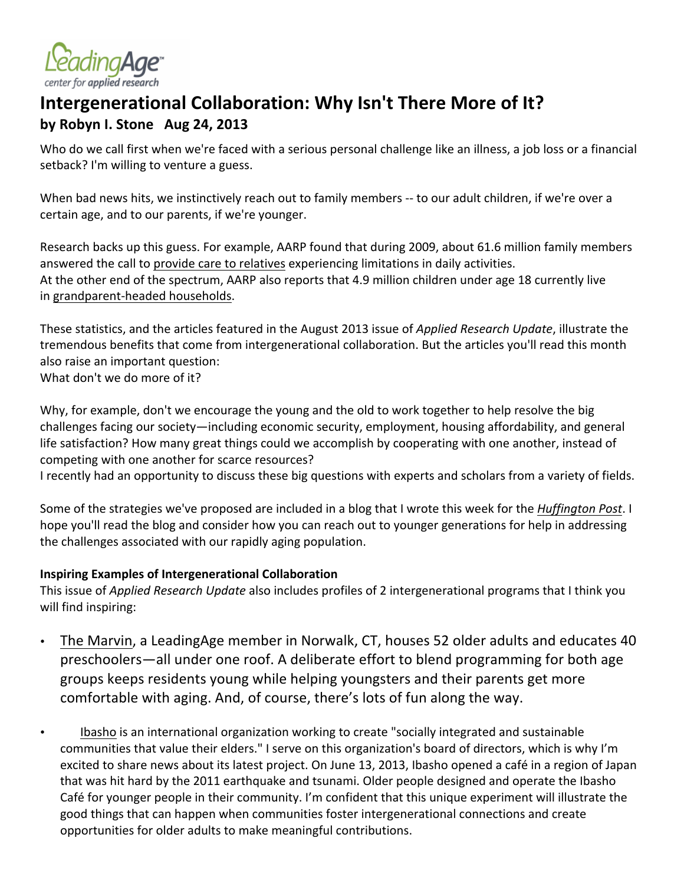

# Intergenerational Collaboration: Why Isn't There More of It? **by Robyn I. Stone Aug 24, 2013**

Who do we call first when we're faced with a serious personal challenge like an illness, a job loss or a financial setback? I'm willing to venture a guess.

When bad news hits, we instinctively reach out to family members -- to our adult children, if we're over a certain age, and to our parents, if we're younger.

Research backs up this guess. For example, AARP found that during 2009, about 61.6 million family members answered the call to provide care to relatives experiencing limitations in daily activities. At the other end of the spectrum, AARP also reports that 4.9 million children under age 18 currently live in grandparent-headed households.

These statistics, and the articles featured in the August 2013 issue of *Applied Research Update*, illustrate the tremendous benefits that come from intergenerational collaboration. But the articles you'll read this month also raise an important question:

What don't we do more of it?

Why, for example, don't we encourage the young and the old to work together to help resolve the big challenges facing our society—including economic security, employment, housing affordability, and general life satisfaction? How many great things could we accomplish by cooperating with one another, instead of competing with one another for scarce resources?

I recently had an opportunity to discuss these big questions with experts and scholars from a variety of fields.

Some of the strategies we've proposed are included in a blog that I wrote this week for the *Huffington Post*. I hope you'll read the blog and consider how you can reach out to younger generations for help in addressing the challenges associated with our rapidly aging population.

#### **Inspiring Examples of Intergenerational Collaboration**

This issue of *Applied Research Update* also includes profiles of 2 intergenerational programs that I think you will find inspiring:

- The Marvin, a LeadingAge member in Norwalk, CT, houses 52 older adults and educates 40 preschoolers—all under one roof. A deliberate effort to blend programming for both age groups keeps residents young while helping youngsters and their parents get more comfortable with aging. And, of course, there's lots of fun along the way.
- Ibasho is an international organization working to create "socially integrated and sustainable communities that value their elders." I serve on this organization's board of directors, which is why I'm excited to share news about its latest project. On June 13, 2013, Ibasho opened a café in a region of Japan that was hit hard by the 2011 earthquake and tsunami. Older people designed and operate the Ibasho Café for younger people in their community. I'm confident that this unique experiment will illustrate the good things that can happen when communities foster intergenerational connections and create opportunities for older adults to make meaningful contributions.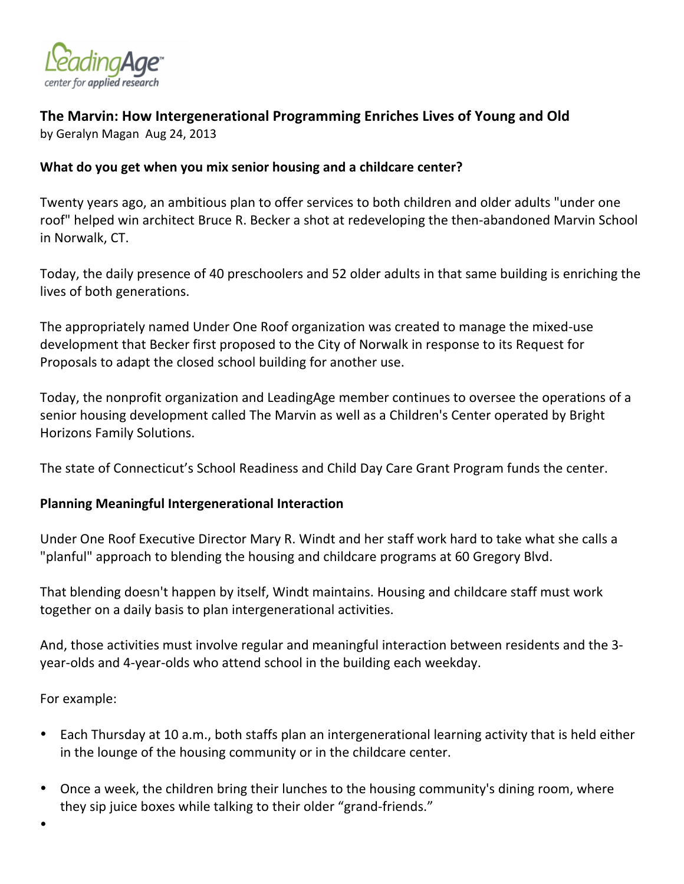

## The Marvin: How Intergenerational Programming Enriches Lives of Young and Old

by Geralyn Magan Aug 24, 2013

### What do you get when you mix senior housing and a childcare center?

Twenty years ago, an ambitious plan to offer services to both children and older adults "under one roof" helped win architect Bruce R. Becker a shot at redeveloping the then-abandoned Marvin School in Norwalk, CT.

Today, the daily presence of 40 preschoolers and 52 older adults in that same building is enriching the lives of both generations.

The appropriately named Under One Roof organization was created to manage the mixed-use development that Becker first proposed to the City of Norwalk in response to its Request for Proposals to adapt the closed school building for another use.

Today, the nonprofit organization and LeadingAge member continues to oversee the operations of a senior housing development called The Marvin as well as a Children's Center operated by Bright Horizons Family Solutions.

The state of Connecticut's School Readiness and Child Day Care Grant Program funds the center.

## **Planning+Meaningful+Intergenerational+Interaction**

Under One Roof Executive Director Mary R. Windt and her staff work hard to take what she calls a "planful" approach to blending the housing and childcare programs at 60 Gregory Blvd.

That blending doesn't happen by itself, Windt maintains. Housing and childcare staff must work together on a daily basis to plan intergenerational activities.

And, those activities must involve regular and meaningful interaction between residents and the 3year-olds and 4-year-olds who attend school in the building each weekday.

For example:

- Each Thursday at 10 a.m., both staffs plan an intergenerational learning activity that is held either in the lounge of the housing community or in the childcare center.
- Once a week, the children bring their lunches to the housing community's dining room, where they sip juice boxes while talking to their older "grand-friends."
- •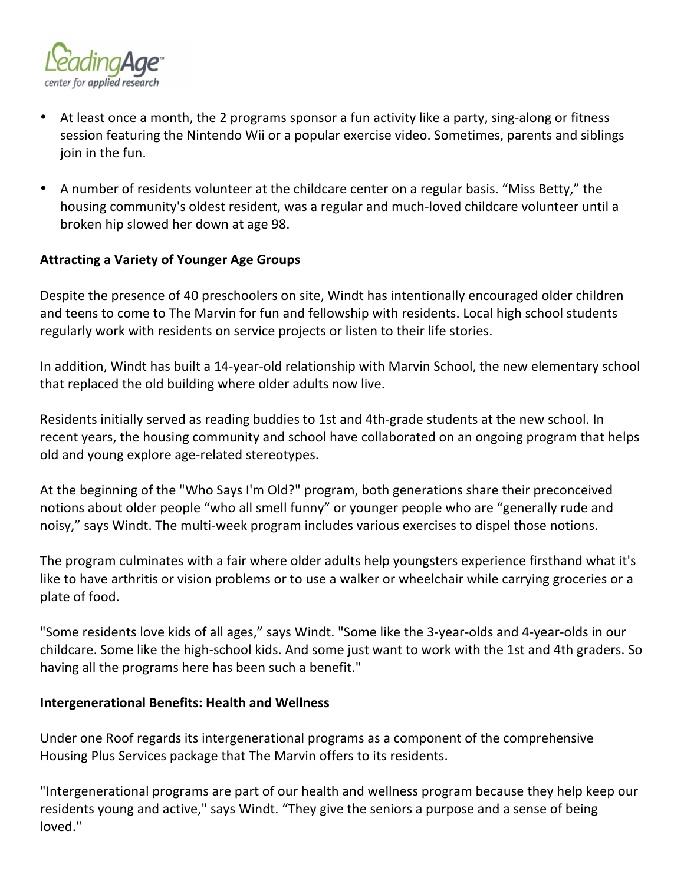

- At least once a month, the 2 programs sponsor a fun activity like a party, sing-along or fitness session featuring the Nintendo Wii or a popular exercise video. Sometimes, parents and siblings join in the fun.
- A number of residents volunteer at the childcare center on a regular basis. "Miss Betty," the housing community's oldest resident, was a regular and much-loved childcare volunteer until a broken hip slowed her down at age 98.

#### **Attracting a Variety of Younger Age Groups**

Despite the presence of 40 preschoolers on site, Windt has intentionally encouraged older children and teens to come to The Marvin for fun and fellowship with residents. Local high school students regularly work with residents on service projects or listen to their life stories.

In addition, Windt has built a 14-year-old relationship with Marvin School, the new elementary school that replaced the old building where older adults now live.

Residents initially served as reading buddies to 1st and 4th-grade students at the new school. In recent years, the housing community and school have collaborated on an ongoing program that helps old and young explore age-related stereotypes.

At the beginning of the "Who Says I'm Old?" program, both generations share their preconceived notions about older people "who all smell funny" or younger people who are "generally rude and noisy," says Windt. The multi-week program includes various exercises to dispel those notions.

The program culminates with a fair where older adults help youngsters experience firsthand what it's like to have arthritis or vision problems or to use a walker or wheelchair while carrying groceries or a plate of food.

"Some residents love kids of all ages," says Windt. "Some like the 3-year-olds and 4-year-olds in our childcare. Some like the high-school kids. And some just want to work with the 1st and 4th graders. So having all the programs here has been such a benefit."

#### **Intergenerational Benefits: Health and Wellness**

Under one Roof regards its intergenerational programs as a component of the comprehensive Housing Plus Services package that The Marvin offers to its residents.

"Intergenerational programs are part of our health and wellness program because they help keep our residents young and active," says Windt. "They give the seniors a purpose and a sense of being loved."